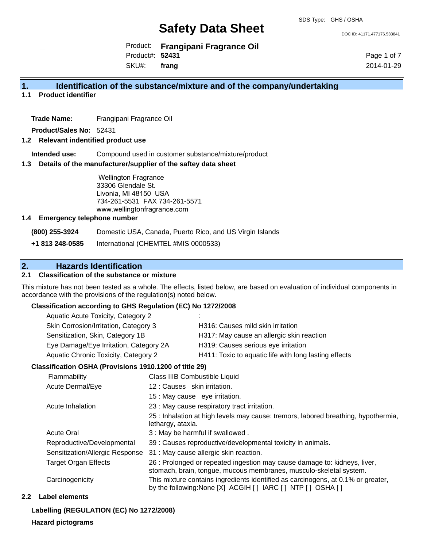DOC ID: 41171.477176.533841

Product: **Frangipani Fragrance Oil** Product#: **52431** SKU#: **frang**

Page 1 of 7 2014-01-29

# **1. Identification of the substance/mixture and of the company/undertaking**

**1.1 Product identifier**

**Trade Name:** Frangipani Fragrance Oil

**Product/Sales No:** 52431

### **1.2 Relevant indentified product use**

**Intended use:** Compound used in customer substance/mixture/product

#### **1.3 Details of the manufacturer/supplier of the saftey data sheet**

Wellington Fragrance 33306 Glendale St. Livonia, MI 48150 USA 734-261-5531 FAX 734-261-5571 www.wellingtonfragrance.com

#### **1.4 Emergency telephone number**

**(800) 255-3924** Domestic USA, Canada, Puerto Rico, and US Virgin Islands

**+1 813 248-0585** International (CHEMTEL #MIS 0000533)

# **2. Hazards Identification**

# **2.1 Classification of the substance or mixture**

This mixture has not been tested as a whole. The effects, listed below, are based on evaluation of individual components in accordance with the provisions of the regulation(s) noted below.

### **Classification according to GHS Regulation (EC) No 1272/2008**

| ٠.                                                    |
|-------------------------------------------------------|
| H316: Causes mild skin irritation                     |
| H317: May cause an allergic skin reaction             |
| H319: Causes serious eye irritation                   |
| H411: Toxic to aquatic life with long lasting effects |
|                                                       |

### **Classification OSHA (Provisions 1910.1200 of title 29)**

| Flammability                    | Class IIIB Combustible Liquid                                                                                                                   |
|---------------------------------|-------------------------------------------------------------------------------------------------------------------------------------------------|
| Acute Dermal/Eye                | 12: Causes skin irritation.                                                                                                                     |
|                                 | 15 : May cause eye irritation.                                                                                                                  |
| Acute Inhalation                | 23 : May cause respiratory tract irritation.                                                                                                    |
|                                 | 25 : Inhalation at high levels may cause: tremors, labored breathing, hypothermia,<br>lethargy, ataxia.                                         |
| <b>Acute Oral</b>               | 3: May be harmful if swallowed.                                                                                                                 |
| Reproductive/Developmental      | 39 : Causes reproductive/developmental toxicity in animals.                                                                                     |
| Sensitization/Allergic Response | 31 : May cause allergic skin reaction.                                                                                                          |
| <b>Target Organ Effects</b>     | 26 : Prolonged or repeated ingestion may cause damage to: kidneys, liver,<br>stomach, brain, tongue, mucous membranes, musculo-skeletal system. |
| Carcinogenicity                 | This mixture contains ingredients identified as carcinogens, at 0.1% or greater,<br>by the following: None [X] ACGIH [] IARC [] NTP [] OSHA []  |

### **2.2 Label elements**

**Labelling (REGULATION (EC) No 1272/2008) Hazard pictograms**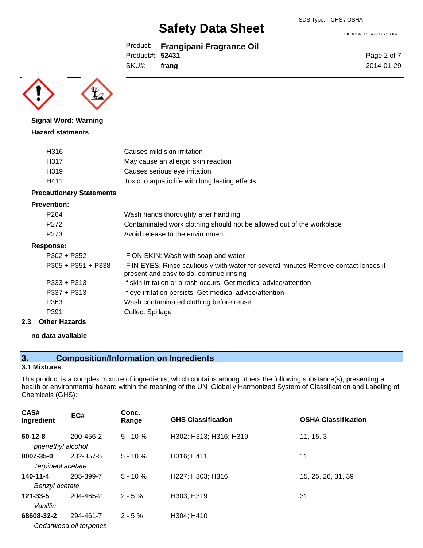DOC ID: 41171.477176.533841

Page 2 of 7 2014-01-29

Product: **Frangipani Fragrance Oil** Product#: **52431**

SKU#: **frang**

**Signal Word: Warning Hazard statments**

| H316 | Causes mild skin irritation                     |
|------|-------------------------------------------------|
| H317 | May cause an allergic skin reaction             |
| H319 | Causes serious eye irritation                   |
| H411 | Toxic to aquatic life with long lasting effects |

# **Precautionary Statements**

#### **Prevention:**

| P <sub>264</sub>     | Wash hands thoroughly after handling                                                                                             |
|----------------------|----------------------------------------------------------------------------------------------------------------------------------|
| P <sub>272</sub>     | Contaminated work clothing should not be allowed out of the workplace                                                            |
| P <sub>273</sub>     | Avoid release to the environment                                                                                                 |
| Response:            |                                                                                                                                  |
| $P302 + P352$        | IF ON SKIN: Wash with soap and water                                                                                             |
| $P305 + P351 + P338$ | IF IN EYES: Rinse cautiously with water for several minutes Remove contact lenses if<br>present and easy to do. continue rinsing |
| $P333 + P313$        | If skin irritation or a rash occurs: Get medical advice/attention                                                                |
| $P337 + P313$        | If eye irritation persists: Get medical advice/attention                                                                         |
| P363                 | Wash contaminated clothing before reuse                                                                                          |
| P391                 | <b>Collect Spillage</b>                                                                                                          |
| Othor Hazarde        |                                                                                                                                  |

# **2.3 Other Hazards**

# **no data available**

# **3. Composition/Information on Ingredients**

## **3.1 Mixtures**

This product is a complex mixture of ingredients, which contains among others the following substance(s), presenting a health or environmental hazard within the meaning of the UN Globally Harmonized System of Classification and Labeling of Chemicals (GHS):

| CAS#<br>Ingredient                 | EC#                    | Conc.<br>Range | <b>GHS Classification</b> | <b>OSHA Classification</b> |
|------------------------------------|------------------------|----------------|---------------------------|----------------------------|
| $60 - 12 - 8$<br>phenethyl alcohol | 200-456-2              | $5 - 10%$      | H302; H313; H316; H319    | 11, 15, 3                  |
| 8007-35-0                          | 232-357-5              | $5 - 10%$      | H316; H411                | 11                         |
| Terpineol acetate                  |                        |                |                           |                            |
| $140 - 11 - 4$                     | 205-399-7              | $5 - 10 \%$    | H227; H303; H316          | 15, 25, 26, 31, 39         |
| Benzyl acetate                     |                        |                |                           |                            |
| 121-33-5                           | 204-465-2              | $2 - 5%$       | H303; H319                | 31                         |
| Vanillin                           |                        |                |                           |                            |
| 68608-32-2                         | 294-461-7              | $2 - 5%$       | H304; H410                |                            |
|                                    | Cedarwood oil terpenes |                |                           |                            |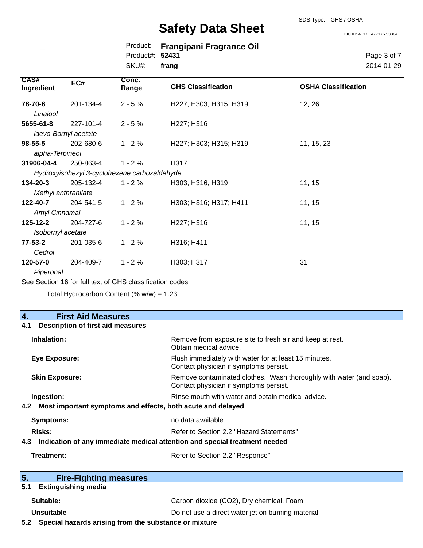DOC ID: 41171.477176.533841

|                    |                      | Product:<br>Product#:<br>SKU#:               | <b>Frangipani Fragrance Oil</b><br>52431<br>frang | Page 3 of 7<br>2014-01-29  |  |
|--------------------|----------------------|----------------------------------------------|---------------------------------------------------|----------------------------|--|
| CAS#<br>Ingredient | EC#                  | Conc.<br>Range                               | <b>GHS Classification</b>                         | <b>OSHA Classification</b> |  |
| 78-70-6            | 201-134-4            | $2 - 5%$                                     | H227; H303; H315; H319                            | 12, 26                     |  |
| Linalool           |                      |                                              |                                                   |                            |  |
| 5655-61-8          | 227-101-4            | $2 - 5%$                                     | H227; H316                                        |                            |  |
|                    | laevo-Bornyl acetate |                                              |                                                   |                            |  |
| $98 - 55 - 5$      | 202-680-6            | $1 - 2%$                                     | H227; H303; H315; H319                            | 11, 15, 23                 |  |
| alpha-Terpineol    |                      |                                              |                                                   |                            |  |
| 31906-04-4         | 250-863-4            | $1 - 2%$                                     | H317                                              |                            |  |
|                    |                      | Hydroxyisohexyl 3-cyclohexene carboxaldehyde |                                                   |                            |  |
| 134-20-3           | 205-132-4            | $1 - 2%$                                     | H303; H316; H319                                  | 11, 15                     |  |
|                    | Methyl anthranilate  |                                              |                                                   |                            |  |
| 122-40-7           | 204-541-5            | $1 - 2%$                                     | H303; H316; H317; H411                            | 11, 15                     |  |
| Amyl Cinnamal      |                      |                                              |                                                   |                            |  |
| 125-12-2           | 204-727-6            | $1 - 2%$                                     | H227; H316                                        | 11, 15                     |  |
| Isobornyl acetate  |                      |                                              |                                                   |                            |  |
| $77 - 53 - 2$      | 201-035-6            | $1 - 2%$                                     | H316; H411                                        |                            |  |
| Cedrol             |                      |                                              |                                                   |                            |  |
| 120-57-0           | 204-409-7            | $1 - 2%$                                     | H303; H317                                        | 31                         |  |
| Piperonal          |                      |                                              |                                                   |                            |  |

See Section 16 for full text of GHS classification codes

Total Hydrocarbon Content  $(% \mathcal{O}_{N})$  = 1.23

# **4. First Aid Measures**

| Description of first aid measures<br>4.1                           |                                                                                                               |
|--------------------------------------------------------------------|---------------------------------------------------------------------------------------------------------------|
| Inhalation:                                                        | Remove from exposure site to fresh air and keep at rest.<br>Obtain medical advice.                            |
| Eye Exposure:                                                      | Flush immediately with water for at least 15 minutes.<br>Contact physician if symptoms persist.               |
| <b>Skin Exposure:</b>                                              | Remove contaminated clothes. Wash thoroughly with water (and soap).<br>Contact physician if symptoms persist. |
| Ingestion:                                                         | Rinse mouth with water and obtain medical advice.                                                             |
| Most important symptoms and effects, both acute and delayed<br>4.2 |                                                                                                               |
| Symptoms:                                                          | no data available                                                                                             |
| Risks:                                                             | Refer to Section 2.2 "Hazard Statements"                                                                      |
| 4.3                                                                | Indication of any immediate medical attention and special treatment needed                                    |
| Treatment:                                                         | Refer to Section 2.2 "Response"                                                                               |
| 5.<br><b>Fire-Fighting measures</b>                                |                                                                                                               |

### **5.1 Extinguishing media**

| Suitable:  | Carbon dioxide (CO2), Dry chemical, Foam          |
|------------|---------------------------------------------------|
| Unsuitable | Do not use a direct water jet on burning material |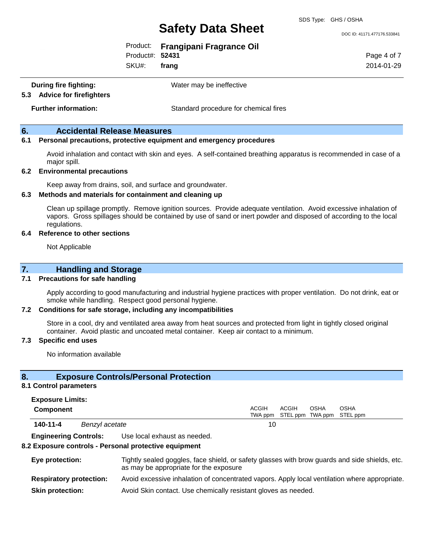DOC ID: 41171.477176.533841

|                 | Product: Frangipani Fragrance Oil |
|-----------------|-----------------------------------|
| Product#: 52431 |                                   |
| $SKU#$ : frang  |                                   |

Page 4 of 7 2014-01-29

**During fire fighting:** Water may be ineffective

**5.3 Advice for firefighters**

**Further information:** Standard procedure for chemical fires

# **6. Accidental Release Measures**

### **6.1 Personal precautions, protective equipment and emergency procedures**

Avoid inhalation and contact with skin and eyes. A self-contained breathing apparatus is recommended in case of a major spill.

### **6.2 Environmental precautions**

Keep away from drains, soil, and surface and groundwater.

#### **6.3 Methods and materials for containment and cleaning up**

Clean up spillage promptly. Remove ignition sources. Provide adequate ventilation. Avoid excessive inhalation of vapors. Gross spillages should be contained by use of sand or inert powder and disposed of according to the local regulations.

### **6.4 Reference to other sections**

Not Applicable

# **7. Handling and Storage**

### **7.1 Precautions for safe handling**

Apply according to good manufacturing and industrial hygiene practices with proper ventilation. Do not drink, eat or smoke while handling. Respect good personal hygiene.

### **7.2 Conditions for safe storage, including any incompatibilities**

Store in a cool, dry and ventilated area away from heat sources and protected from light in tightly closed original container. Avoid plastic and uncoated metal container. Keep air contact to a minimum.

### **7.3 Specific end uses**

No information available

## **8. Exposure Controls/Personal Protection**

#### **8.1 Control parameters**

| <b>Exposure Limits:</b> |  |
|-------------------------|--|
|-------------------------|--|

| Component |                | ACGIH | ACGIH | OSHA | OSHA<br>TWA ppm STEL ppm TWA ppm STEL ppm |  |
|-----------|----------------|-------|-------|------|-------------------------------------------|--|
| 140-11-4  | Benzyl acetate | 10    |       |      |                                           |  |

**Engineering Controls:** Use local exhaust as needed.

### **8.2 Exposure controls - Personal protective equipment**

| Eye protection:                | Tightly sealed goggles, face shield, or safety glasses with brow guards and side shields, etc.<br>as may be appropriate for the exposure |
|--------------------------------|------------------------------------------------------------------------------------------------------------------------------------------|
| <b>Respiratory protection:</b> | Avoid excessive inhalation of concentrated vapors. Apply local ventilation where appropriate.                                            |
| <b>Skin protection:</b>        | Avoid Skin contact. Use chemically resistant gloves as needed.                                                                           |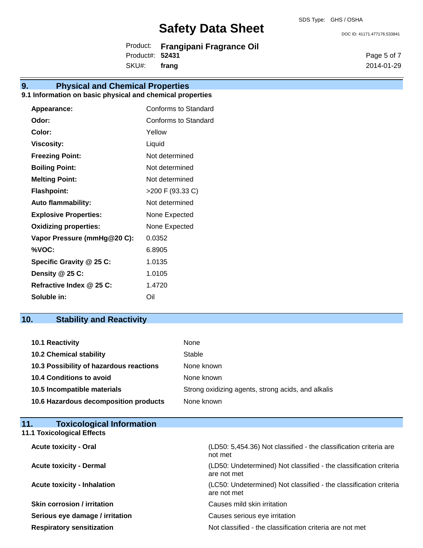DOC ID: 41171.477176.533841

Product: **Frangipani Fragrance Oil** Product#: **52431** SKU#: **frang**

Page 5 of 7 2014-01-29

# **9. Physical and Chemical Properties**

# **9.1 Information on basic physical and chemical properties**

| Appearance:                  | <b>Conforms to Standard</b> |
|------------------------------|-----------------------------|
| Odor:                        | Conforms to Standard        |
| Color:                       | Yellow                      |
| <b>Viscosity:</b>            | Liquid                      |
| <b>Freezing Point:</b>       | Not determined              |
| <b>Boiling Point:</b>        | Not determined              |
| <b>Melting Point:</b>        | Not determined              |
| <b>Flashpoint:</b>           | >200 F (93.33 C)            |
| <b>Auto flammability:</b>    | Not determined              |
| <b>Explosive Properties:</b> | None Expected               |
| <b>Oxidizing properties:</b> | None Expected               |
| Vapor Pressure (mmHg@20 C):  | 0.0352                      |
| %VOC:                        | 6.8905                      |
| Specific Gravity @ 25 C:     | 1.0135                      |
| Density @ 25 C:              | 1.0105                      |
| Refractive Index @ 25 C:     | 1.4720                      |
| Soluble in:                  | Oil                         |

# **10. Stability and Reactivity**

| 10.1 Reactivity                         | None                                               |
|-----------------------------------------|----------------------------------------------------|
| <b>10.2 Chemical stability</b>          | Stable                                             |
| 10.3 Possibility of hazardous reactions | None known                                         |
| <b>10.4 Conditions to avoid</b>         | None known                                         |
| 10.5 Incompatible materials             | Strong oxidizing agents, strong acids, and alkalis |
| 10.6 Hazardous decomposition products   | None known                                         |

| <b>Toxicological Information</b><br>11. |                                                                                  |
|-----------------------------------------|----------------------------------------------------------------------------------|
| <b>11.1 Toxicological Effects</b>       |                                                                                  |
| <b>Acute toxicity - Oral</b>            | (LD50: 5,454.36) Not classified - the classification criteria are<br>not met     |
| <b>Acute toxicity - Dermal</b>          | (LD50: Undetermined) Not classified - the classification criteria<br>are not met |
| <b>Acute toxicity - Inhalation</b>      | (LC50: Undetermined) Not classified - the classification criteria<br>are not met |
| <b>Skin corrosion / irritation</b>      | Causes mild skin irritation                                                      |
| Serious eye damage / irritation         | Causes serious eye irritation                                                    |
| <b>Respiratory sensitization</b>        | Not classified - the classification criteria are not met                         |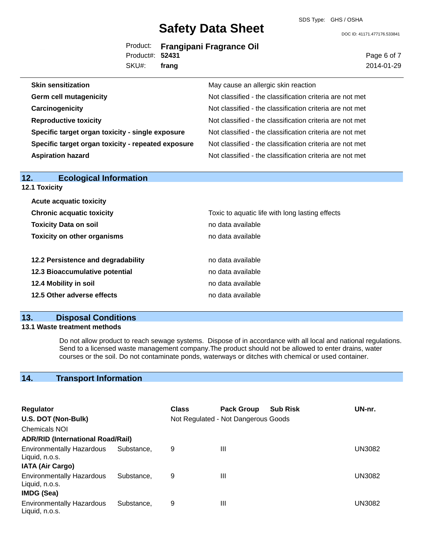SDS Type: GHS / OSHA

DOC ID: 41171.477176.533841

|                 | Product: Frangipani Fragrance Oil |
|-----------------|-----------------------------------|
| Product#: 52431 |                                   |
| SKU#: frang     |                                   |

Page 6 of 7 2014-01-29

| <b>Skin sensitization</b>                          | May cause an allergic skin reaction                      |
|----------------------------------------------------|----------------------------------------------------------|
| <b>Germ cell mutagenicity</b>                      | Not classified - the classification criteria are not met |
| Carcinogenicity                                    | Not classified - the classification criteria are not met |
| <b>Reproductive toxicity</b>                       | Not classified - the classification criteria are not met |
| Specific target organ toxicity - single exposure   | Not classified - the classification criteria are not met |
| Specific target organ toxicity - repeated exposure | Not classified - the classification criteria are not met |
| <b>Aspiration hazard</b>                           | Not classified - the classification criteria are not met |
|                                                    |                                                          |

| 12.<br><b>Ecological Information</b> |                                                 |
|--------------------------------------|-------------------------------------------------|
| <b>12.1 Toxicity</b>                 |                                                 |
| <b>Acute acquatic toxicity</b>       |                                                 |
| <b>Chronic acquatic toxicity</b>     | Toxic to aquatic life with long lasting effects |
| <b>Toxicity Data on soil</b>         | no data available                               |
| <b>Toxicity on other organisms</b>   | no data available                               |
| 12.2 Persistence and degradability   | no data available                               |
| 12.3 Bioaccumulative potential       | no data available                               |
| 12.4 Mobility in soil                | no data available                               |
| 12.5 Other adverse effects           | no data available                               |
|                                      |                                                 |

# **13. Disposal Conditions**

# **13.1 Waste treatment methods**

Do not allow product to reach sewage systems. Dispose of in accordance with all local and national regulations. Send to a licensed waste management company.The product should not be allowed to enter drains, water courses or the soil. Do not contaminate ponds, waterways or ditches with chemical or used container.

# **14. Transport Information**

| <b>Regulator</b>                                                 |            | <b>Class</b> | <b>Pack Group</b>                   | <b>Sub Risk</b> | UN-nr.        |
|------------------------------------------------------------------|------------|--------------|-------------------------------------|-----------------|---------------|
| U.S. DOT (Non-Bulk)                                              |            |              | Not Regulated - Not Dangerous Goods |                 |               |
| <b>Chemicals NOI</b>                                             |            |              |                                     |                 |               |
| <b>ADR/RID (International Road/Rail)</b>                         |            |              |                                     |                 |               |
| <b>Environmentally Hazardous</b><br>Liquid, n.o.s.               | Substance, | 9            | Ш                                   |                 | <b>UN3082</b> |
| <b>IATA (Air Cargo)</b>                                          |            |              |                                     |                 |               |
| <b>Environmentally Hazardous</b><br>Liquid, n.o.s.<br>IMDG (Sea) | Substance. | 9            | Ш                                   |                 | UN3082        |
| <b>Environmentally Hazardous</b><br>Liquid, n.o.s.               | Substance. | 9            | Ш                                   |                 | <b>UN3082</b> |